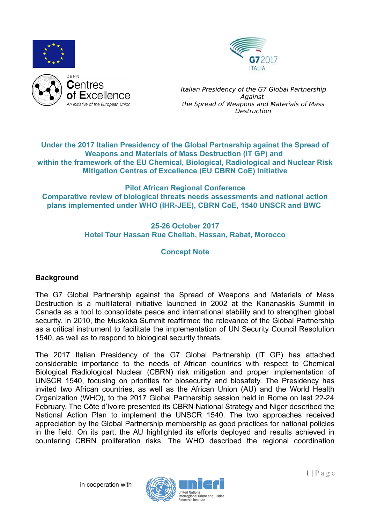



#### **Under the 2017 Italian Presidency of the Global Partnership against the Spread of Weapons and Materials of Mass Destruction (IT GP) and within the framework of the EU Chemical, Biological, Radiological and Nuclear Risk Mitigation Centres of Excellence (EU CBRN CoE) Initiative**

**Pilot African Regional Conference Comparative review of biological threats needs assessments and national action plans implemented under WHO (IHR-JEE), CBRN CoE, 1540 UNSCR and BWC** 

### **25-26 October 2017 Hotel Tour Hassan Rue Chellah, Hassan, Rabat, Morocco**

# **Concept Note**

# **Background**

The G7 Global Partnership against the Spread of Weapons and Materials of Mass Destruction is a multilateral initiative launched in 2002 at the Kananaskis Summit in Canada as a tool to consolidate peace and international stability and to strengthen global security. In 2010, the Muskoka Summit reaffirmed the relevance of the Global Partnership as a critical instrument to facilitate the implementation of UN Security Council Resolution 1540, as well as to respond to biological security threats.

The 2017 Italian Presidency of the G7 Global Partnership (IT GP) has attached considerable importance to the needs of African countries with respect to Chemical Biological Radiological Nuclear (CBRN) risk mitigation and proper implementation of UNSCR 1540, focusing on priorities for biosecurity and biosafety. The Presidency has invited two African countries, as well as the African Union (AU) and the World Health Organization (WHO), to the 2017 Global Partnership session held in Rome on last 22-24 February. The Côte d'Ivoire presented its CBRN National Strategy and Niger described the National Action Plan to implement the UNSCR 1540. The two approaches received appreciation by the Global Partnership membership as good practices for national policies in the field. On its part, the AU highlighted its efforts deployed and results achieved in countering CBRN proliferation risks. The WHO described the regional coordination

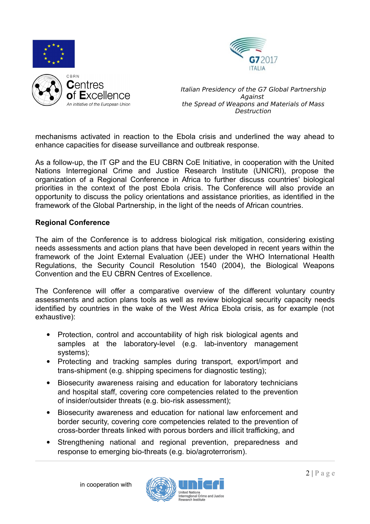



mechanisms activated in reaction to the Ebola crisis and underlined the way ahead to enhance capacities for disease surveillance and outbreak response.

As a follow-up, the IT GP and the EU CBRN CoE Initiative, in cooperation with the United Nations Interregional Crime and Justice Research Institute (UNICRI), propose the organization of a Regional Conference in Africa to further discuss countries' biological priorities in the context of the post Ebola crisis. The Conference will also provide an opportunity to discuss the policy orientations and assistance priorities, as identified in the framework of the Global Partnership, in the light of the needs of African countries.

#### **Regional Conference**

The aim of the Conference is to address biological risk mitigation, considering existing needs assessments and action plans that have been developed in recent years within the framework of the Joint External Evaluation (JEE) under the WHO International Health Regulations, the Security Council Resolution 1540 (2004), the Biological Weapons Convention and the EU CBRN Centres of Excellence.

The Conference will offer a comparative overview of the different voluntary country assessments and action plans tools as well as review biological security capacity needs identified by countries in the wake of the West Africa Ebola crisis, as for example (not exhaustive):

- Protection, control and accountability of high risk biological agents and samples at the laboratory-level (e.g. lab-inventory management systems);
- Protecting and tracking samples during transport, export/import and trans-shipment (e.g. shipping specimens for diagnostic testing);
- Biosecurity awareness raising and education for laboratory technicians and hospital staff, covering core competencies related to the prevention of insider/outsider threats (e.g. bio-risk assessment);
- Biosecurity awareness and education for national law enforcement and border security, covering core competencies related to the prevention of cross-border threats linked with porous borders and illicit trafficking, and
- Strengthening national and regional prevention, preparedness and response to emerging bio-threats (e.g. bio/agroterrorism).

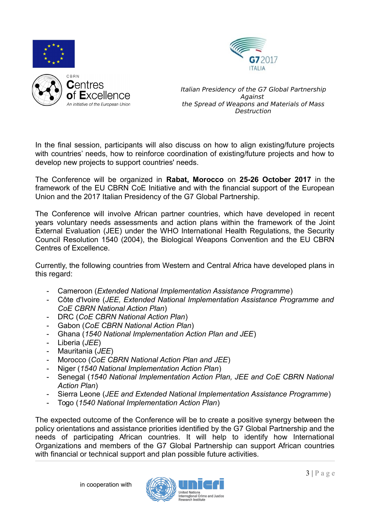



In the final session, participants will also discuss on how to align existing/future projects with countries' needs, how to reinforce coordination of existing/future projects and how to develop new projects to support countries' needs.

The Conference will be organized in **Rabat, Morocco** on **25-26 October 2017** in the framework of the EU CBRN CoE Initiative and with the financial support of the European Union and the 2017 Italian Presidency of the G7 Global Partnership.

The Conference will involve African partner countries, which have developed in recent years voluntary needs assessments and action plans within the framework of the Joint External Evaluation (JEE) under the WHO International Health Regulations, the Security Council Resolution 1540 (2004), the Biological Weapons Convention and the EU CBRN Centres of Excellence.

Currently, the following countries from Western and Central Africa have developed plans in this regard:

- Cameroon (*Extended National Implementation Assistance Programme*)
- Côte d'Ivoire (*JEE, Extended National Implementation Assistance Programme and CoE CBRN National Action Plan*)
- DRC (*CoE CBRN National Action Plan*)
- Gabon (*CoE CBRN National Action Plan*)
- Ghana (*1540 National Implementation Action Plan and JEE*)
- Liberia (*JEE*)
- Mauritania (*JEE*)
- Morocco (*CoE CBRN National Action Plan and JEE*)
- Niger (*1540 National Implementation Action Plan*)
- Senegal (*1540 National Implementation Action Plan, JEE and CoE CBRN National Action Plan*)
- Sierra Leone (*JEE and Extended National Implementation Assistance Programme*)
- Togo (*1540 National Implementation Action Plan*)

The expected outcome of the Conference will be to create a positive synergy between the policy orientations and assistance priorities identified by the G7 Global Partnership and the needs of participating African countries. It will help to identify how International Organizations and members of the G7 Global Partnership can support African countries with financial or technical support and plan possible future activities.